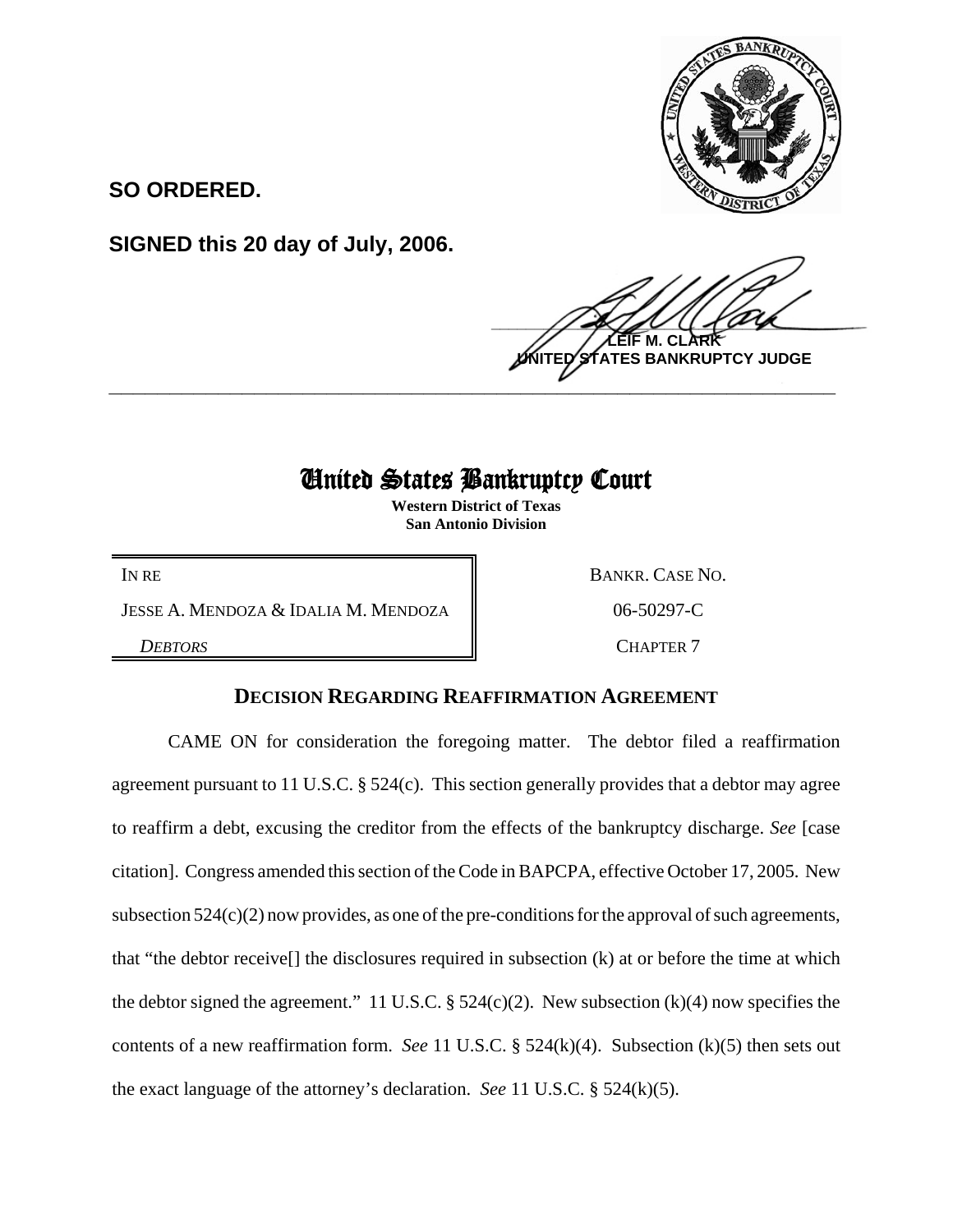

**SO ORDERED.**

**SIGNED this 20 day of July, 2006.**

 $\frac{1}{2}$ **M. ES BANKRUPTCY JUDGE \_\_\_\_\_\_\_\_\_\_\_\_\_\_\_\_\_\_\_\_\_\_\_\_\_\_\_\_\_\_\_\_\_\_\_\_\_\_\_\_\_\_\_\_\_\_\_\_\_\_\_\_\_\_\_\_\_\_\_\_**

## United States Bankruptcy Court

**Western District of Texas San Antonio Division**

JESSE A. MENDOZA & IDALIA M. MENDOZA  $\parallel$  06-50297-C

IN RE BANKR. CASE NO.

**DEBTORS** CHAPTER 7

## **DECISION REGARDING REAFFIRMATION AGREEMENT**

CAME ON for consideration the foregoing matter. The debtor filed a reaffirmation agreement pursuant to 11 U.S.C. § 524(c). This section generally provides that a debtor may agree to reaffirm a debt, excusing the creditor from the effects of the bankruptcy discharge. *See* [case citation]. Congress amended this section of the Code in BAPCPA, effective October 17, 2005. New subsection 524(c)(2) now provides, as one of the pre-conditions for the approval of such agreements, that "the debtor receive[] the disclosures required in subsection (k) at or before the time at which the debtor signed the agreement." 11 U.S.C.  $\S$  524(c)(2). New subsection (k)(4) now specifies the contents of a new reaffirmation form. *See* 11 U.S.C. § 524(k)(4). Subsection (k)(5) then sets out the exact language of the attorney's declaration. *See* 11 U.S.C. § 524(k)(5).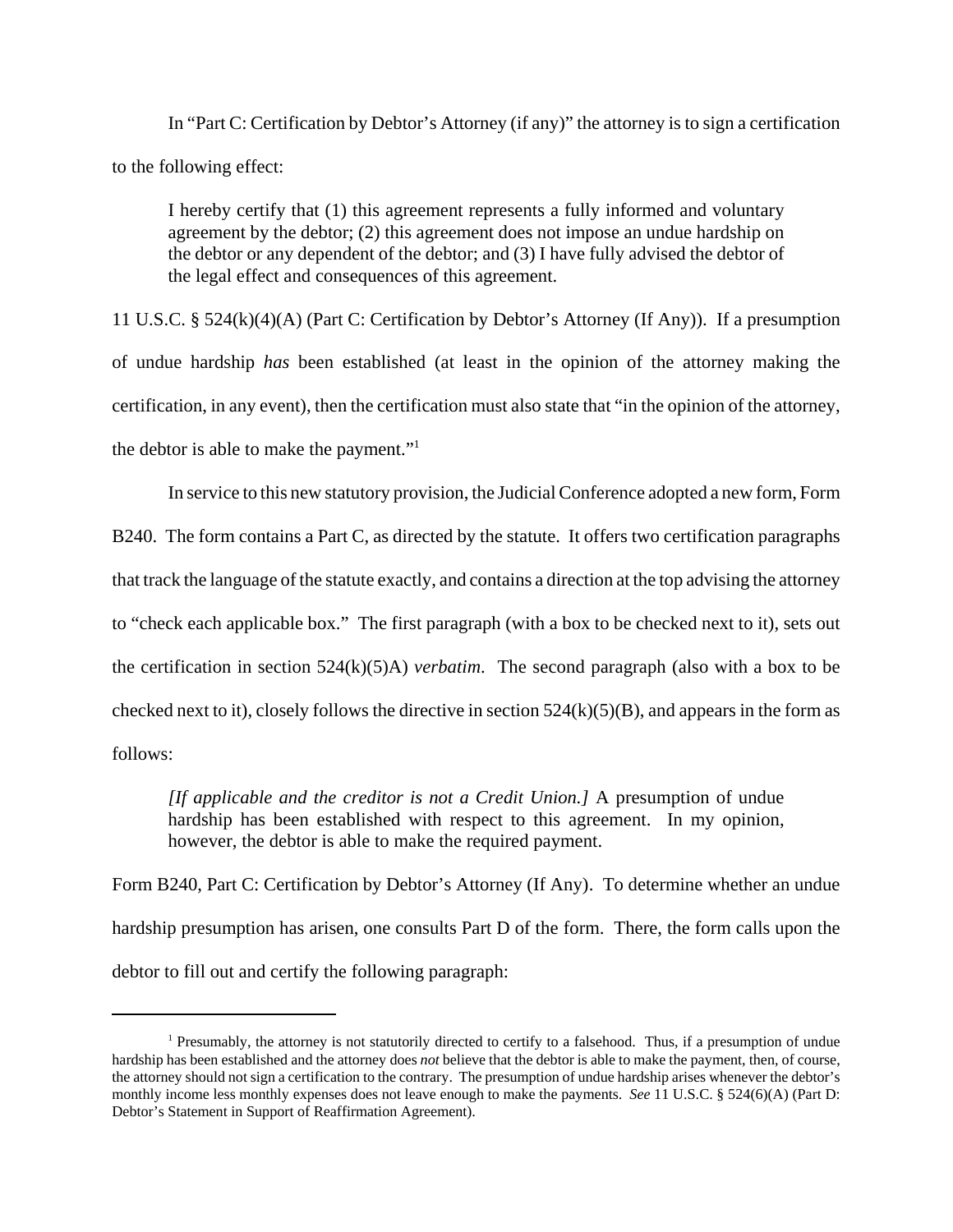In "Part C: Certification by Debtor's Attorney (if any)" the attorney is to sign a certification to the following effect:

I hereby certify that (1) this agreement represents a fully informed and voluntary agreement by the debtor; (2) this agreement does not impose an undue hardship on the debtor or any dependent of the debtor; and (3) I have fully advised the debtor of the legal effect and consequences of this agreement.

11 U.S.C. § 524(k)(4)(A) (Part C: Certification by Debtor's Attorney (If Any)). If a presumption of undue hardship *has* been established (at least in the opinion of the attorney making the certification, in any event), then the certification must also state that "in the opinion of the attorney, the debtor is able to make the payment."<sup>1</sup>

In service to this new statutory provision, the Judicial Conference adopted a new form, Form B240. The form contains a Part C, as directed by the statute. It offers two certification paragraphs that track the language of the statute exactly, and contains a direction at the top advising the attorney to "check each applicable box." The first paragraph (with a box to be checked next to it), sets out the certification in section 524(k)(5)A) *verbatim*. The second paragraph (also with a box to be checked next to it), closely follows the directive in section  $524(k)(5)(B)$ , and appears in the form as follows:

*[If applicable and the creditor is not a Credit Union.]* A presumption of undue hardship has been established with respect to this agreement. In my opinion, however, the debtor is able to make the required payment.

Form B240, Part C: Certification by Debtor's Attorney (If Any). To determine whether an undue hardship presumption has arisen, one consults Part D of the form. There, the form calls upon the debtor to fill out and certify the following paragraph:

<sup>&</sup>lt;sup>1</sup> Presumably, the attorney is not statutorily directed to certify to a falsehood. Thus, if a presumption of undue hardship has been established and the attorney does *not* believe that the debtor is able to make the payment, then, of course, the attorney should not sign a certification to the contrary. The presumption of undue hardship arises whenever the debtor's monthly income less monthly expenses does not leave enough to make the payments. *See* 11 U.S.C. § 524(6)(A) (Part D: Debtor's Statement in Support of Reaffirmation Agreement).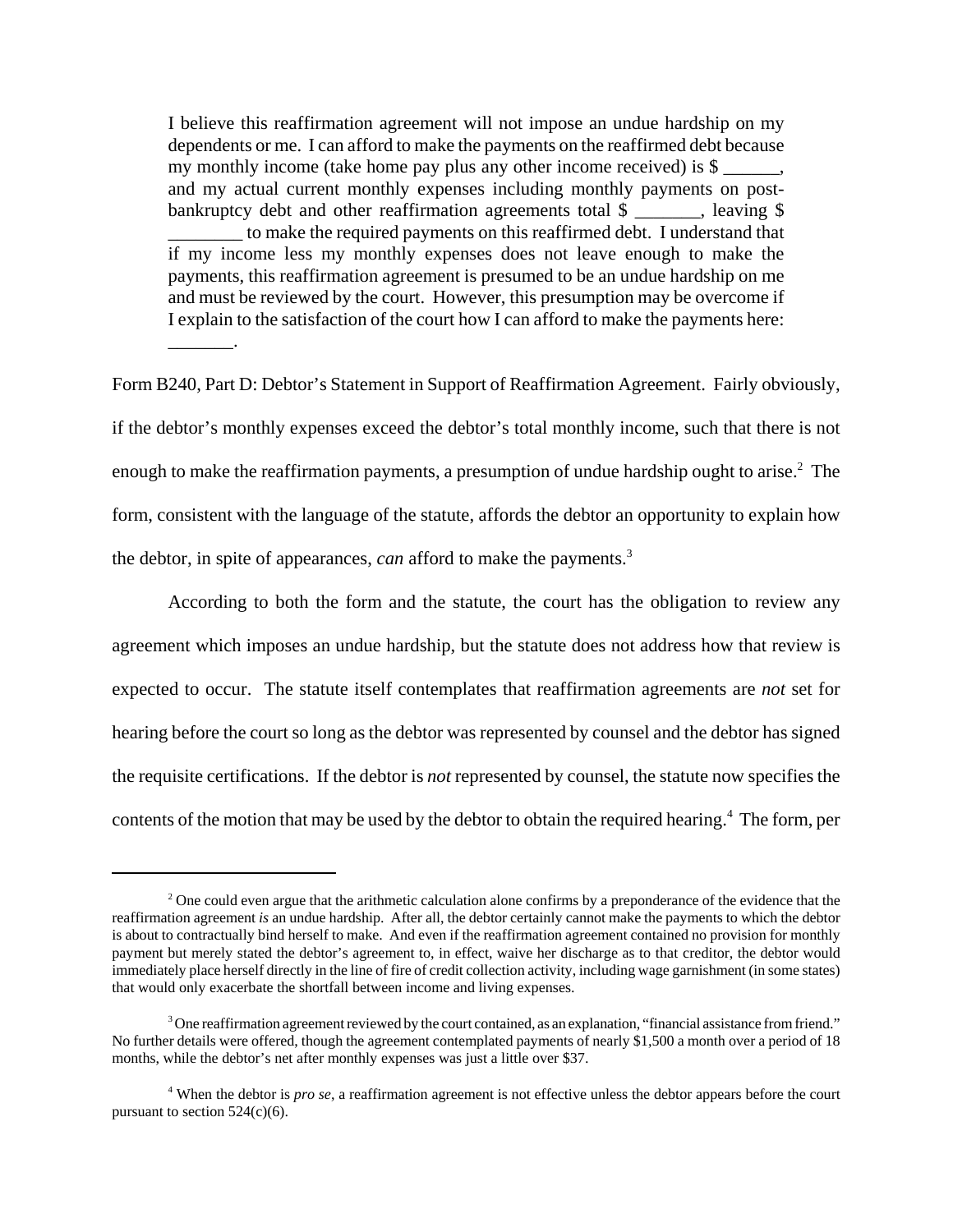I believe this reaffirmation agreement will not impose an undue hardship on my dependents or me. I can afford to make the payments on the reaffirmed debt because my monthly income (take home pay plus any other income received) is  $\$\,$ , and my actual current monthly expenses including monthly payments on postbankruptcy debt and other reaffirmation agreements total \$ \_\_\_\_\_\_, leaving \$ \_\_\_\_\_\_\_\_ to make the required payments on this reaffirmed debt. I understand that if my income less my monthly expenses does not leave enough to make the payments, this reaffirmation agreement is presumed to be an undue hardship on me and must be reviewed by the court. However, this presumption may be overcome if I explain to the satisfaction of the court how I can afford to make the payments here:

\_\_\_\_\_\_\_.

Form B240, Part D: Debtor's Statement in Support of Reaffirmation Agreement. Fairly obviously, if the debtor's monthly expenses exceed the debtor's total monthly income, such that there is not enough to make the reaffirmation payments, a presumption of undue hardship ought to arise. $2$  The form, consistent with the language of the statute, affords the debtor an opportunity to explain how the debtor, in spite of appearances, *can* afford to make the payments.<sup>3</sup>

According to both the form and the statute, the court has the obligation to review any agreement which imposes an undue hardship, but the statute does not address how that review is expected to occur. The statute itself contemplates that reaffirmation agreements are *not* set for hearing before the court so long as the debtor was represented by counsel and the debtor has signed the requisite certifications. If the debtor is *not* represented by counsel, the statute now specifies the contents of the motion that may be used by the debtor to obtain the required hearing.<sup>4</sup> The form, per

<sup>&</sup>lt;sup>2</sup> One could even argue that the arithmetic calculation alone confirms by a preponderance of the evidence that the reaffirmation agreement *is* an undue hardship. After all, the debtor certainly cannot make the payments to which the debtor is about to contractually bind herself to make. And even if the reaffirmation agreement contained no provision for monthly payment but merely stated the debtor's agreement to, in effect, waive her discharge as to that creditor, the debtor would immediately place herself directly in the line of fire of credit collection activity, including wage garnishment (in some states) that would only exacerbate the shortfall between income and living expenses.

 $3$  One reaffirmation agreement reviewed by the court contained, as an explanation, "financial assistance from friend." No further details were offered, though the agreement contemplated payments of nearly \$1,500 a month over a period of 18 months, while the debtor's net after monthly expenses was just a little over \$37.

<sup>4</sup> When the debtor is *pro se*, a reaffirmation agreement is not effective unless the debtor appears before the court pursuant to section  $524(c)(6)$ .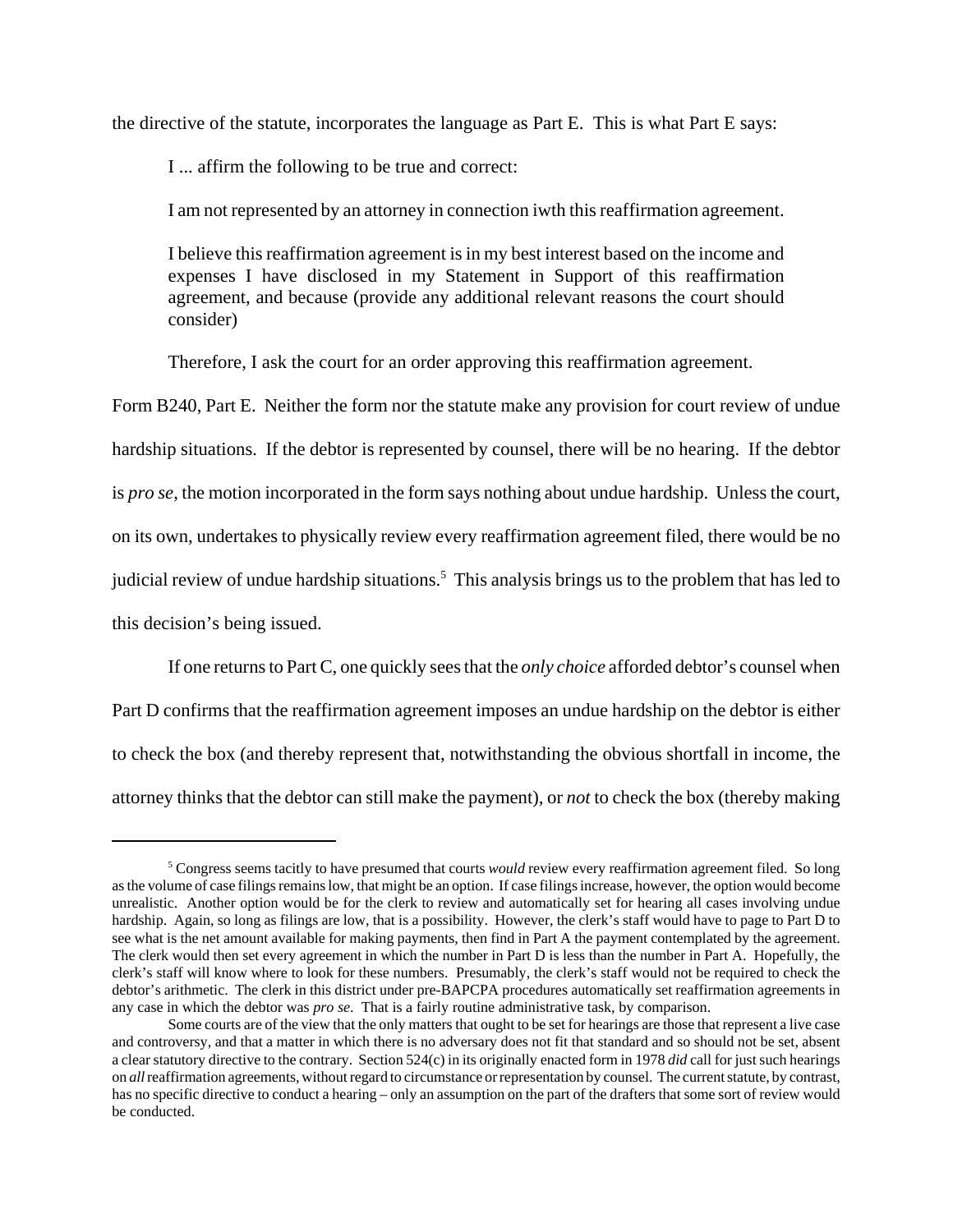the directive of the statute, incorporates the language as Part E. This is what Part E says:

I ... affirm the following to be true and correct:

I am not represented by an attorney in connection iwth this reaffirmation agreement.

I believe this reaffirmation agreement is in my best interest based on the income and expenses I have disclosed in my Statement in Support of this reaffirmation agreement, and because (provide any additional relevant reasons the court should consider)

Therefore, I ask the court for an order approving this reaffirmation agreement.

Form B240, Part E. Neither the form nor the statute make any provision for court review of undue hardship situations. If the debtor is represented by counsel, there will be no hearing. If the debtor is *pro se*, the motion incorporated in the form says nothing about undue hardship. Unless the court, on its own, undertakes to physically review every reaffirmation agreement filed, there would be no judicial review of undue hardship situations.<sup>5</sup> This analysis brings us to the problem that has led to this decision's being issued.

If one returns to Part C, one quickly sees that the *only choice* afforded debtor's counsel when Part D confirms that the reaffirmation agreement imposes an undue hardship on the debtor is either to check the box (and thereby represent that, notwithstanding the obvious shortfall in income, the attorney thinks that the debtor can still make the payment), or *not* to check the box (thereby making

<sup>&</sup>lt;sup>5</sup> Congress seems tacitly to have presumed that courts *would* review every reaffirmation agreement filed. So long as the volume of case filings remains low, that might be an option. If case filings increase, however, the option would become unrealistic. Another option would be for the clerk to review and automatically set for hearing all cases involving undue hardship. Again, so long as filings are low, that is a possibility. However, the clerk's staff would have to page to Part D to see what is the net amount available for making payments, then find in Part A the payment contemplated by the agreement. The clerk would then set every agreement in which the number in Part D is less than the number in Part A. Hopefully, the clerk's staff will know where to look for these numbers. Presumably, the clerk's staff would not be required to check the debtor's arithmetic. The clerk in this district under pre-BAPCPA procedures automatically set reaffirmation agreements in any case in which the debtor was *pro se*. That is a fairly routine administrative task, by comparison.

Some courts are of the view that the only matters that ought to be set for hearings are those that represent a live case and controversy, and that a matter in which there is no adversary does not fit that standard and so should not be set, absent a clear statutory directive to the contrary. Section 524(c) in its originally enacted form in 1978 *did* call for just such hearings on *all* reaffirmation agreements, without regard to circumstance or representation by counsel. The current statute, by contrast, has no specific directive to conduct a hearing – only an assumption on the part of the drafters that some sort of review would be conducted.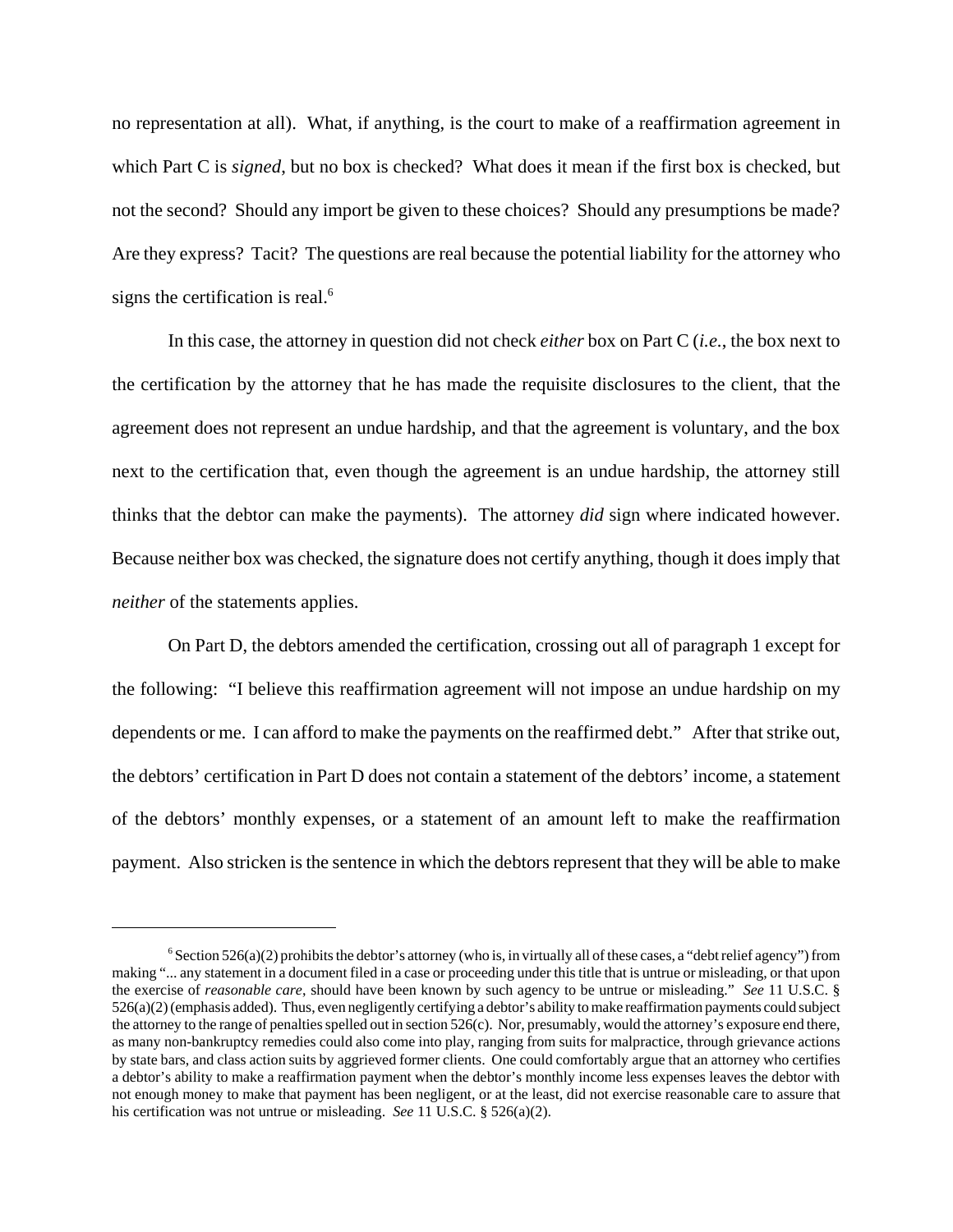no representation at all). What, if anything, is the court to make of a reaffirmation agreement in which Part C is *signed*, but no box is checked? What does it mean if the first box is checked, but not the second? Should any import be given to these choices? Should any presumptions be made? Are they express? Tacit? The questions are real because the potential liability for the attorney who signs the certification is real.<sup>6</sup>

In this case, the attorney in question did not check *either* box on Part C (*i.e.*, the box next to the certification by the attorney that he has made the requisite disclosures to the client, that the agreement does not represent an undue hardship, and that the agreement is voluntary, and the box next to the certification that, even though the agreement is an undue hardship, the attorney still thinks that the debtor can make the payments). The attorney *did* sign where indicated however. Because neither box was checked, the signature does not certify anything, though it does imply that *neither* of the statements applies.

On Part D, the debtors amended the certification, crossing out all of paragraph 1 except for the following: "I believe this reaffirmation agreement will not impose an undue hardship on my dependents or me. I can afford to make the payments on the reaffirmed debt." After that strike out, the debtors' certification in Part D does not contain a statement of the debtors' income, a statement of the debtors' monthly expenses, or a statement of an amount left to make the reaffirmation payment. Also stricken is the sentence in which the debtors represent that they will be able to make

 $6$  Section 526(a)(2) prohibits the debtor's attorney (who is, in virtually all of these cases, a "debt relief agency") from making "... any statement in a document filed in a case or proceeding under this title that is untrue or misleading, or that upon the exercise of *reasonable care*, should have been known by such agency to be untrue or misleading." *See* 11 U.S.C. § 526(a)(2) (emphasis added). Thus, even negligently certifying a debtor's ability to make reaffirmation payments could subject the attorney to the range of penalties spelled out in section 526(c). Nor, presumably, would the attorney's exposure end there, as many non-bankruptcy remedies could also come into play, ranging from suits for malpractice, through grievance actions by state bars, and class action suits by aggrieved former clients. One could comfortably argue that an attorney who certifies a debtor's ability to make a reaffirmation payment when the debtor's monthly income less expenses leaves the debtor with not enough money to make that payment has been negligent, or at the least, did not exercise reasonable care to assure that his certification was not untrue or misleading. *See* 11 U.S.C. § 526(a)(2).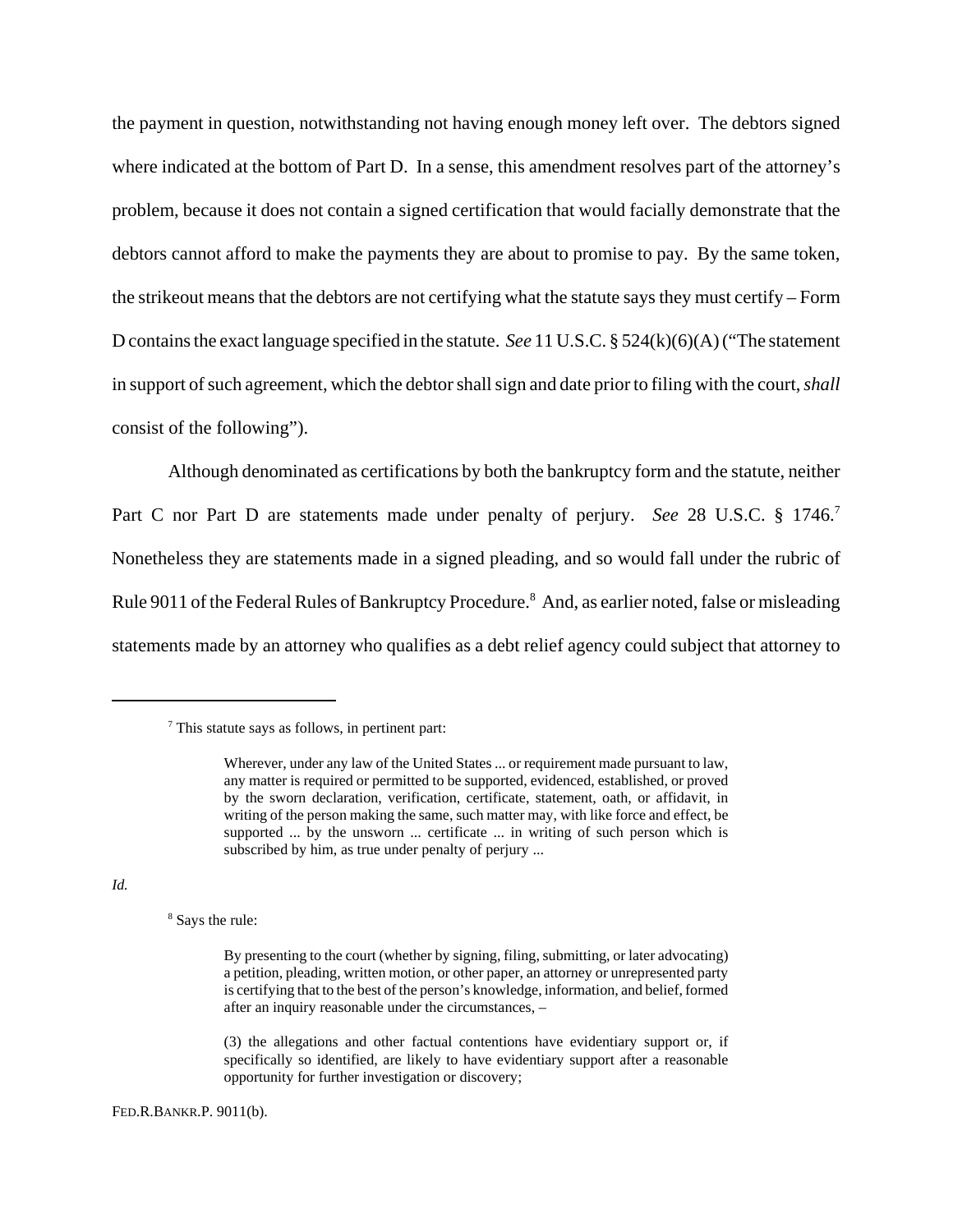the payment in question, notwithstanding not having enough money left over. The debtors signed where indicated at the bottom of Part D. In a sense, this amendment resolves part of the attorney's problem, because it does not contain a signed certification that would facially demonstrate that the debtors cannot afford to make the payments they are about to promise to pay. By the same token, the strikeout means that the debtors are not certifying what the statute says they must certify – Form D contains the exact language specified in the statute. *See* 11 U.S.C. § 524(k)(6)(A) ("The statement in support of such agreement, which the debtor shall sign and date prior to filing with the court, *shall* consist of the following").

Although denominated as certifications by both the bankruptcy form and the statute, neither Part C nor Part D are statements made under penalty of perjury. *See* 28 U.S.C. § 1746.<sup>7</sup> Nonetheless they are statements made in a signed pleading, and so would fall under the rubric of Rule 9011 of the Federal Rules of Bankruptcy Procedure.<sup>8</sup> And, as earlier noted, false or misleading statements made by an attorney who qualifies as a debt relief agency could subject that attorney to

## *Id.*

<sup>8</sup> Says the rule:

<sup>&</sup>lt;sup>7</sup> This statute says as follows, in pertinent part:

Wherever, under any law of the United States ... or requirement made pursuant to law, any matter is required or permitted to be supported, evidenced, established, or proved by the sworn declaration, verification, certificate, statement, oath, or affidavit, in writing of the person making the same, such matter may, with like force and effect, be supported ... by the unsworn ... certificate ... in writing of such person which is subscribed by him, as true under penalty of perjury ...

By presenting to the court (whether by signing, filing, submitting, or later advocating) a petition, pleading, written motion, or other paper, an attorney or unrepresented party is certifying that to the best of the person's knowledge, information, and belief, formed after an inquiry reasonable under the circumstances, –

<sup>(3)</sup> the allegations and other factual contentions have evidentiary support or, if specifically so identified, are likely to have evidentiary support after a reasonable opportunity for further investigation or discovery;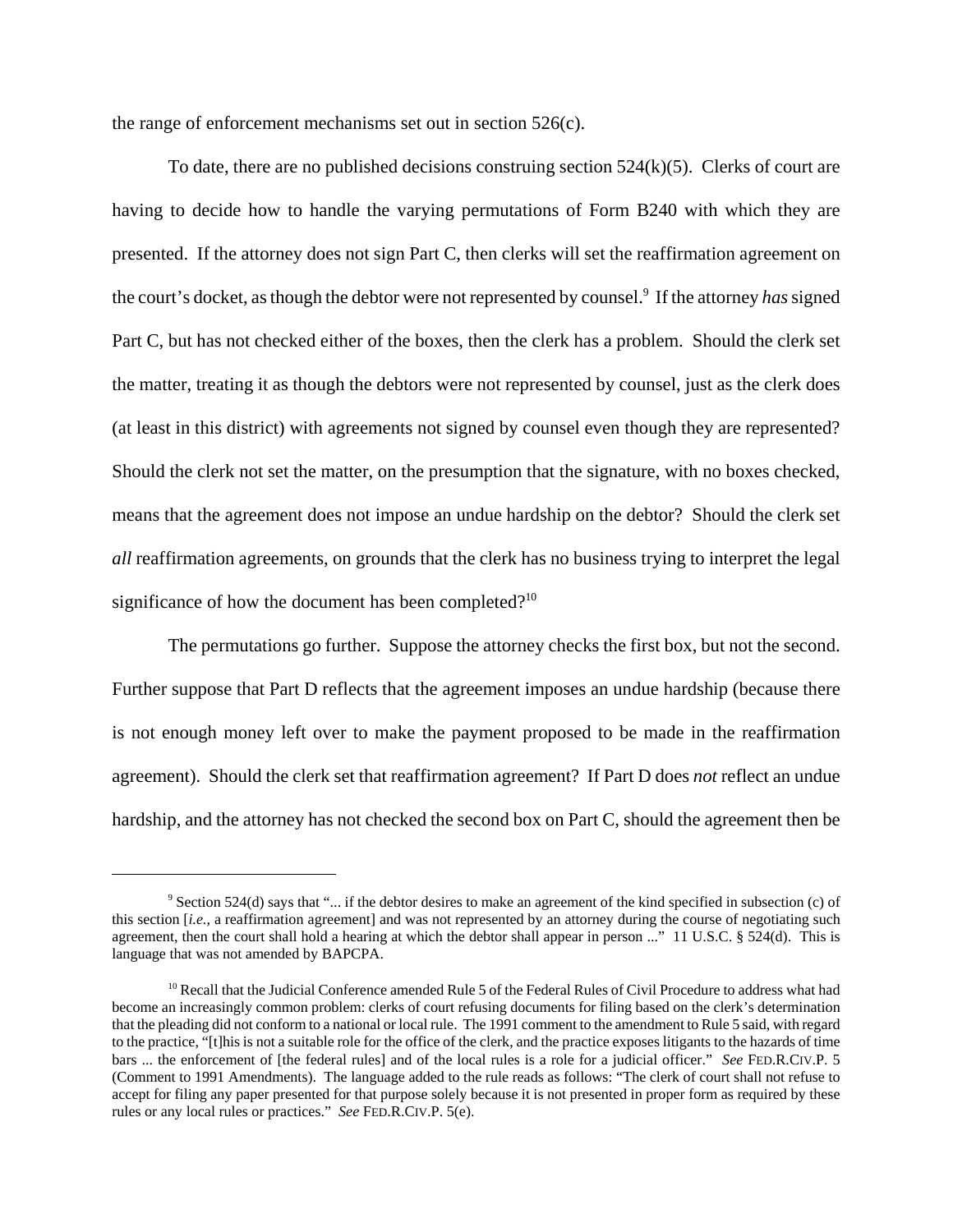the range of enforcement mechanisms set out in section 526(c).

To date, there are no published decisions construing section  $524(k)(5)$ . Clerks of court are having to decide how to handle the varying permutations of Form B240 with which they are presented. If the attorney does not sign Part C, then clerks will set the reaffirmation agreement on the court's docket, as though the debtor were not represented by counsel.<sup>9</sup> If the attorney *has* signed Part C, but has not checked either of the boxes, then the clerk has a problem. Should the clerk set the matter, treating it as though the debtors were not represented by counsel, just as the clerk does (at least in this district) with agreements not signed by counsel even though they are represented? Should the clerk not set the matter, on the presumption that the signature, with no boxes checked, means that the agreement does not impose an undue hardship on the debtor? Should the clerk set *all* reaffirmation agreements, on grounds that the clerk has no business trying to interpret the legal significance of how the document has been completed?<sup>10</sup>

The permutations go further. Suppose the attorney checks the first box, but not the second. Further suppose that Part D reflects that the agreement imposes an undue hardship (because there is not enough money left over to make the payment proposed to be made in the reaffirmation agreement). Should the clerk set that reaffirmation agreement? If Part D does *not* reflect an undue hardship, and the attorney has not checked the second box on Part C, should the agreement then be

<sup>&</sup>lt;sup>9</sup> Section 524(d) says that "... if the debtor desires to make an agreement of the kind specified in subsection (c) of this section *<i>[i.e.*, a reaffirmation agreement] and was not represented by an attorney during the course of negotiating such agreement, then the court shall hold a hearing at which the debtor shall appear in person ..." 11 U.S.C. § 524(d). This is language that was not amended by BAPCPA.

<sup>&</sup>lt;sup>10</sup> Recall that the Judicial Conference amended Rule 5 of the Federal Rules of Civil Procedure to address what had become an increasingly common problem: clerks of court refusing documents for filing based on the clerk's determination that the pleading did not conform to a national or local rule. The 1991 comment to the amendment to Rule 5 said, with regard to the practice, "[t]his is not a suitable role for the office of the clerk, and the practice exposes litigants to the hazards of time bars ... the enforcement of [the federal rules] and of the local rules is a role for a judicial officer." *See* FED.R.CIV.P. 5 (Comment to 1991 Amendments). The language added to the rule reads as follows: "The clerk of court shall not refuse to accept for filing any paper presented for that purpose solely because it is not presented in proper form as required by these rules or any local rules or practices." *See* FED.R.CIV.P. 5(e).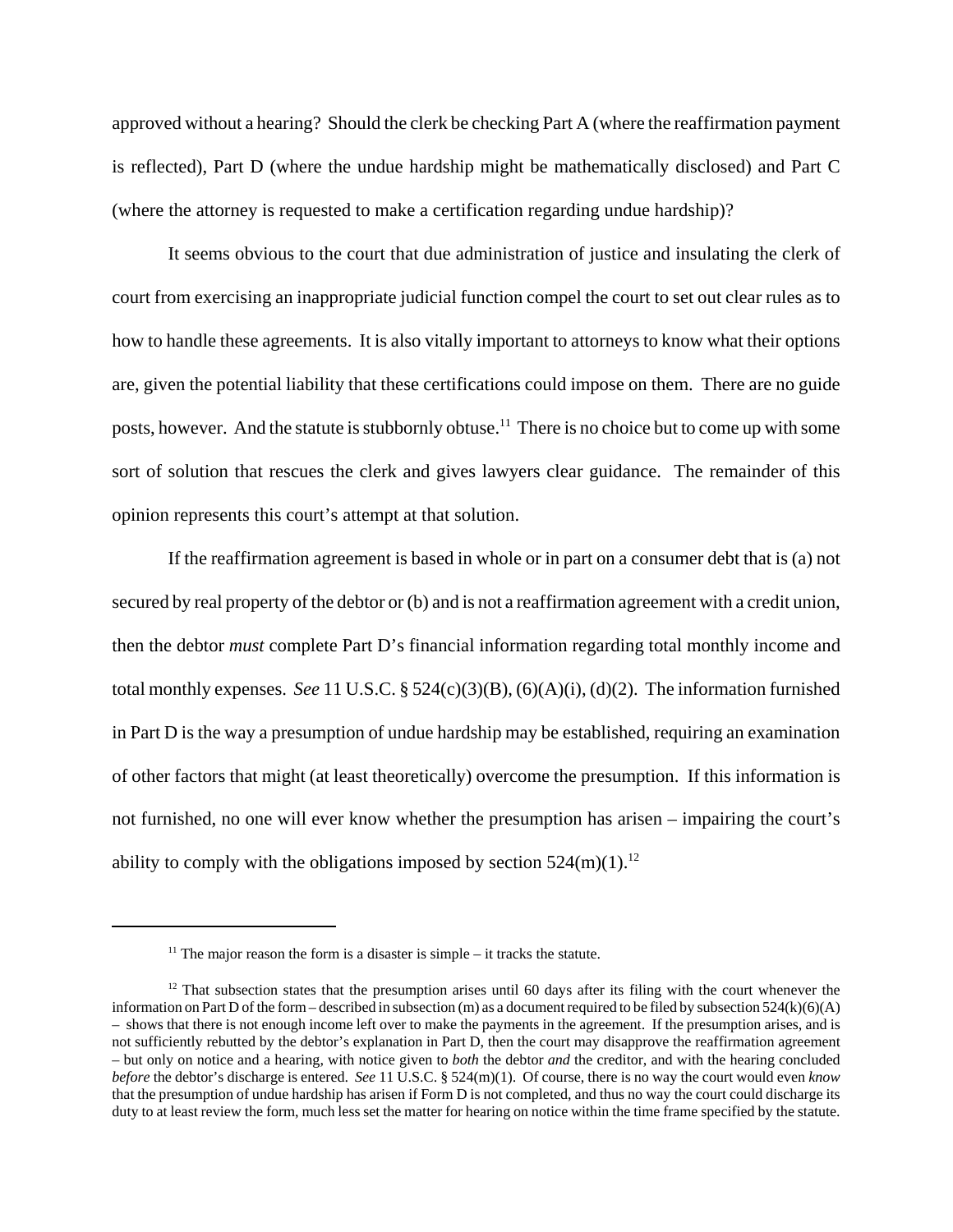approved without a hearing? Should the clerk be checking Part A (where the reaffirmation payment is reflected), Part D (where the undue hardship might be mathematically disclosed) and Part C (where the attorney is requested to make a certification regarding undue hardship)?

It seems obvious to the court that due administration of justice and insulating the clerk of court from exercising an inappropriate judicial function compel the court to set out clear rules as to how to handle these agreements. It is also vitally important to attorneys to know what their options are, given the potential liability that these certifications could impose on them. There are no guide posts, however. And the statute is stubbornly obtuse.<sup>11</sup> There is no choice but to come up with some sort of solution that rescues the clerk and gives lawyers clear guidance. The remainder of this opinion represents this court's attempt at that solution.

If the reaffirmation agreement is based in whole or in part on a consumer debt that is (a) not secured by real property of the debtor or (b) and is not a reaffirmation agreement with a credit union, then the debtor *must* complete Part D's financial information regarding total monthly income and total monthly expenses. *See* 11 U.S.C. § 524(c)(3)(B), (6)(A)(i), (d)(2). The information furnished in Part D is the way a presumption of undue hardship may be established, requiring an examination of other factors that might (at least theoretically) overcome the presumption. If this information is not furnished, no one will ever know whether the presumption has arisen – impairing the court's ability to comply with the obligations imposed by section  $524$ (m)(1).<sup>12</sup>

<sup>&</sup>lt;sup>11</sup> The major reason the form is a disaster is simple  $-$  it tracks the statute.

 $12$  That subsection states that the presumption arises until 60 days after its filing with the court whenever the information on Part D of the form – described in subsection (m) as a document required to be filed by subsection  $524(k)(6)(A)$ – shows that there is not enough income left over to make the payments in the agreement. If the presumption arises, and is not sufficiently rebutted by the debtor's explanation in Part D, then the court may disapprove the reaffirmation agreement – but only on notice and a hearing, with notice given to *both* the debtor *and* the creditor, and with the hearing concluded *before* the debtor's discharge is entered. *See* 11 U.S.C. § 524(m)(1). Of course, there is no way the court would even *know* that the presumption of undue hardship has arisen if Form D is not completed, and thus no way the court could discharge its duty to at least review the form, much less set the matter for hearing on notice within the time frame specified by the statute.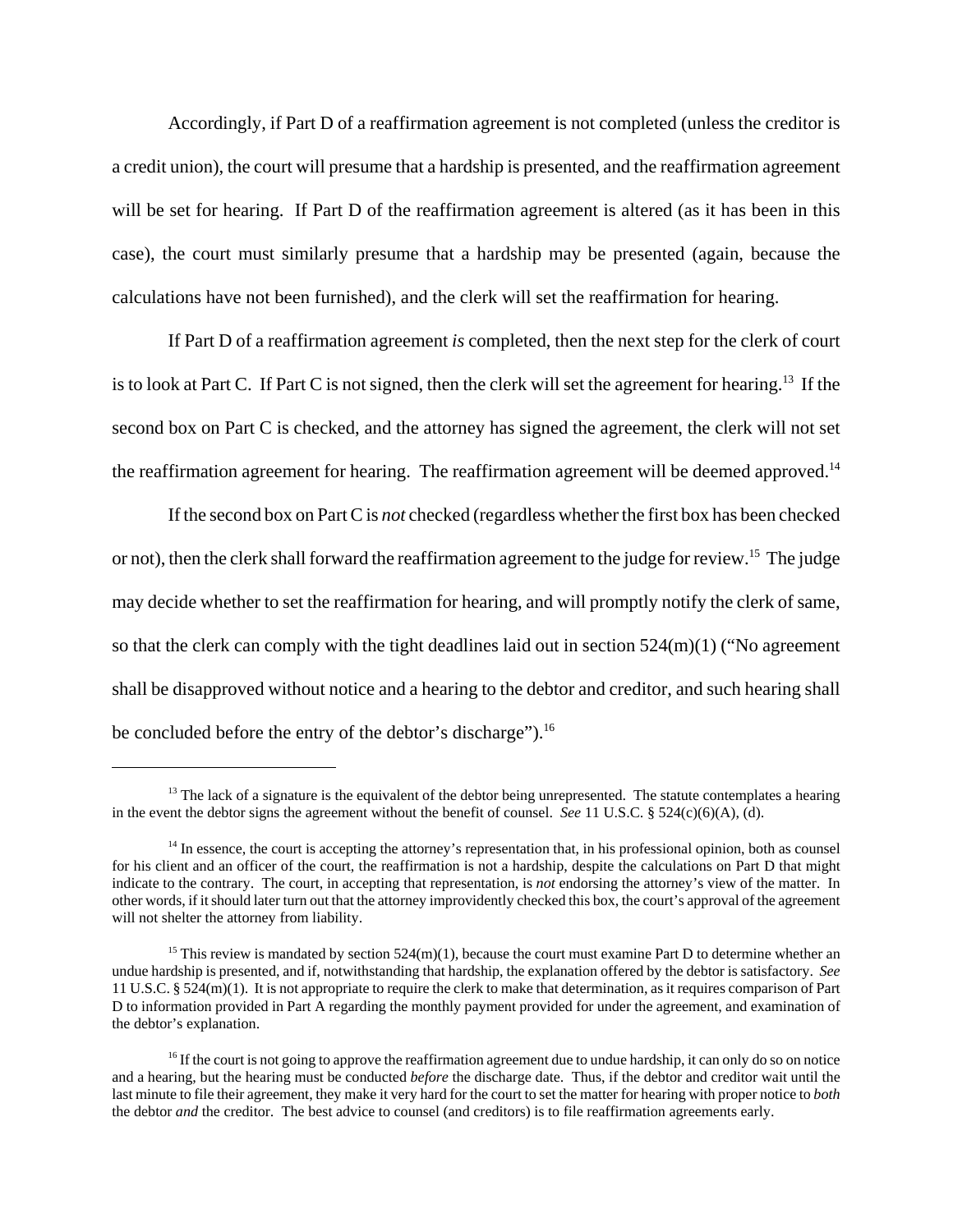Accordingly, if Part D of a reaffirmation agreement is not completed (unless the creditor is a credit union), the court will presume that a hardship is presented, and the reaffirmation agreement will be set for hearing. If Part D of the reaffirmation agreement is altered (as it has been in this case), the court must similarly presume that a hardship may be presented (again, because the calculations have not been furnished), and the clerk will set the reaffirmation for hearing.

If Part D of a reaffirmation agreement *is* completed, then the next step for the clerk of court is to look at Part C. If Part C is not signed, then the clerk will set the agreement for hearing.<sup>13</sup> If the second box on Part C is checked, and the attorney has signed the agreement, the clerk will not set the reaffirmation agreement for hearing. The reaffirmation agreement will be deemed approved.<sup>14</sup>

If the second box on Part C is *not* checked (regardless whether the first box has been checked or not), then the clerk shall forward the reaffirmation agreement to the judge for review.15 The judge may decide whether to set the reaffirmation for hearing, and will promptly notify the clerk of same, so that the clerk can comply with the tight deadlines laid out in section  $524(m)(1)$  ("No agreement shall be disapproved without notice and a hearing to the debtor and creditor, and such hearing shall be concluded before the entry of the debtor's discharge").<sup>16</sup>

 $13$  The lack of a signature is the equivalent of the debtor being unrepresented. The statute contemplates a hearing in the event the debtor signs the agreement without the benefit of counsel. *See* 11 U.S.C. § 524(c)(6)(A), (d).

 $14$  In essence, the court is accepting the attorney's representation that, in his professional opinion, both as counsel for his client and an officer of the court, the reaffirmation is not a hardship, despite the calculations on Part D that might indicate to the contrary. The court, in accepting that representation, is *not* endorsing the attorney's view of the matter. In other words, if it should later turn out that the attorney improvidently checked this box, the court's approval of the agreement will not shelter the attorney from liability.

<sup>&</sup>lt;sup>15</sup> This review is mandated by section  $524(m)(1)$ , because the court must examine Part D to determine whether an undue hardship is presented, and if, notwithstanding that hardship, the explanation offered by the debtor is satisfactory. *See* 11 U.S.C. § 524(m)(1). It is not appropriate to require the clerk to make that determination, as it requires comparison of Part D to information provided in Part A regarding the monthly payment provided for under the agreement, and examination of the debtor's explanation.

 $^{16}$  If the court is not going to approve the reaffirmation agreement due to undue hardship, it can only do so on notice and a hearing, but the hearing must be conducted *before* the discharge date. Thus, if the debtor and creditor wait until the last minute to file their agreement, they make it very hard for the court to set the matter for hearing with proper notice to *both* the debtor *and* the creditor. The best advice to counsel (and creditors) is to file reaffirmation agreements early.